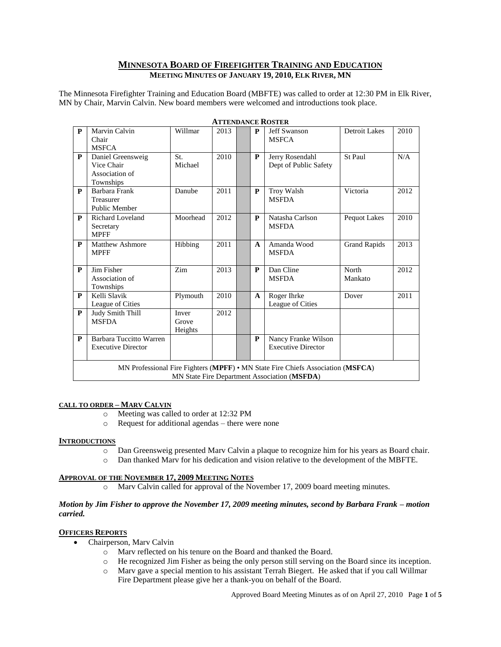# **MINNESOTA BOARD OF FIREFIGHTER TRAINING AND EDUCATION MEETING MINUTES OF JANUARY 19, 2010, ELK RIVER, MN**

The Minnesota Firefighter Training and Education Board (MBFTE) was called to order at 12:30 PM in Elk River, MN by Chair, Marvin Calvin. New board members were welcomed and introductions took place.

| $\mathbf{P}$                                                                                                                    | Marvin Calvin<br>Chair<br><b>MSFCA</b>                         | Willmar                   | 2013 |  | P            | <b>Jeff Swanson</b><br><b>MSFCA</b>              | <b>Detroit Lakes</b> | 2010 |
|---------------------------------------------------------------------------------------------------------------------------------|----------------------------------------------------------------|---------------------------|------|--|--------------|--------------------------------------------------|----------------------|------|
| P                                                                                                                               | Daniel Greensweig<br>Vice Chair<br>Association of<br>Townships | St.<br>Michael            | 2010 |  | P            | Jerry Rosendahl<br>Dept of Public Safety         | St Paul              | N/A  |
| $\mathbf{P}$                                                                                                                    | Barbara Frank<br>Treasurer<br><b>Public Member</b>             | Danube                    | 2011 |  | P            | Troy Walsh<br><b>MSFDA</b>                       | Victoria             | 2012 |
| $\mathbf{P}$                                                                                                                    | Richard Loveland<br>Secretary<br><b>MPFF</b>                   | Moorhead                  | 2012 |  | P            | Natasha Carlson<br><b>MSFDA</b>                  | <b>Pequot Lakes</b>  | 2010 |
| $\mathbf{P}$                                                                                                                    | <b>Matthew Ashmore</b><br><b>MPFF</b>                          | Hibbing                   | 2011 |  | $\mathbf{A}$ | Amanda Wood<br><b>MSFDA</b>                      | <b>Grand Rapids</b>  | 2013 |
| $\mathbf{P}$                                                                                                                    | Jim Fisher<br>Association of<br>Townships                      | Zim                       | 2013 |  | P            | Dan Cline<br><b>MSFDA</b>                        | North<br>Mankato     | 2012 |
| $\mathbf{P}$                                                                                                                    | Kelli Slavik<br>League of Cities                               | Plymouth                  | 2010 |  | $\mathbf{A}$ | Roger Ihrke<br>League of Cities                  | Dover                | 2011 |
| $\mathbf{P}$                                                                                                                    | Judy Smith Thill<br><b>MSFDA</b>                               | Inver<br>Grove<br>Heights | 2012 |  |              |                                                  |                      |      |
| $\mathbf{P}$                                                                                                                    | Barbara Tuccitto Warren<br><b>Executive Director</b>           |                           |      |  | P            | Nancy Franke Wilson<br><b>Executive Director</b> |                      |      |
| MN Professional Fire Fighters (MPFF) · MN State Fire Chiefs Association (MSFCA)<br>MN State Fire Department Association (MSFDA) |                                                                |                           |      |  |              |                                                  |                      |      |

#### **ATTENDANCE ROSTER**

### **CALL TO ORDER – MARV CALVIN**

- o Meeting was called to order at 12:32 PM
- o Request for additional agendas there were none

#### **INTRODUCTIONS**

- o Dan Greensweig presented Marv Calvin a plaque to recognize him for his years as Board chair.
- o Dan thanked Marv for his dedication and vision relative to the development of the MBFTE.

#### **APPROVAL OF THE NOVEMBER 17, 2009 MEETING NOTES**

o Marv Calvin called for approval of the November 17, 2009 board meeting minutes.

## *Motion by Jim Fisher to approve the November 17, 2009 meeting minutes, second by Barbara Frank – motion carried.*

### **OFFICERS REPORTS**

- Chairperson, Marv Calvin
	- o Marv reflected on his tenure on the Board and thanked the Board.
	- o He recognized Jim Fisher as being the only person still serving on the Board since its inception.
	- o Marv gave a special mention to his assistant Terrah Biegert. He asked that if you call Willmar Fire Department please give her a thank-you on behalf of the Board.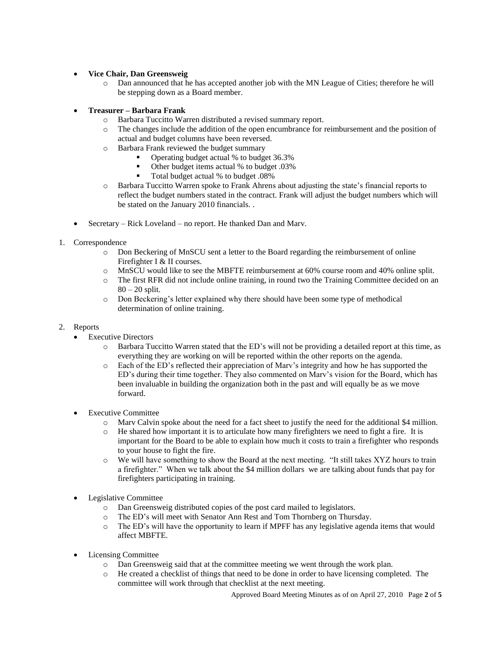# **Vice Chair, Dan Greensweig**

- o Dan announced that he has accepted another job with the MN League of Cities; therefore he will be stepping down as a Board member.
- **Treasurer – Barbara Frank**
	- o Barbara Tuccitto Warren distributed a revised summary report.
	- o The changes include the addition of the open encumbrance for reimbursement and the position of actual and budget columns have been reversed.
	- o Barbara Frank reviewed the budget summary
		- Operating budget actual % to budget 36.3%
		- Other budget items actual % to budget .03%
		- Total budget actual % to budget .08%
	- o Barbara Tuccitto Warren spoke to Frank Ahrens about adjusting the state's financial reports to reflect the budget numbers stated in the contract. Frank will adjust the budget numbers which will be stated on the January 2010 financials. .
- Secretary Rick Loveland no report. He thanked Dan and Marv.
- 1. Correspondence
	- o Don Beckering of MnSCU sent a letter to the Board regarding the reimbursement of online Firefighter I & II courses.
	- o MnSCU would like to see the MBFTE reimbursement at 60% course room and 40% online split.
	- o The first RFR did not include online training, in round two the Training Committee decided on an  $80 - 20$  split.
	- o Don Beckering's letter explained why there should have been some type of methodical determination of online training.
- 2. Reports
	- Executive Directors
		- o Barbara Tuccitto Warren stated that the ED's will not be providing a detailed report at this time, as everything they are working on will be reported within the other reports on the agenda.
		- o Each of the ED's reflected their appreciation of Marv's integrity and how he has supported the ED's during their time together. They also commented on Marv's vision for the Board, which has been invaluable in building the organization both in the past and will equally be as we move forward.
	- Executive Committee
		- o Marv Calvin spoke about the need for a fact sheet to justify the need for the additional \$4 million.
		- o He shared how important it is to articulate how many firefighters we need to fight a fire. It is important for the Board to be able to explain how much it costs to train a firefighter who responds to your house to fight the fire.
		- o We will have something to show the Board at the next meeting. "It still takes XYZ hours to train a firefighter." When we talk about the \$4 million dollars we are talking about funds that pay for firefighters participating in training.
	- Legislative Committee
		- o Dan Greensweig distributed copies of the post card mailed to legislators.
		- o The ED's will meet with Senator Ann Rest and Tom Thornberg on Thursday.
		- o The ED's will have the opportunity to learn if MPFF has any legislative agenda items that would affect MBFTE.
	- Licensing Committee
		- o Dan Greensweig said that at the committee meeting we went through the work plan.
		- o He created a checklist of things that need to be done in order to have licensing completed. The committee will work through that checklist at the next meeting.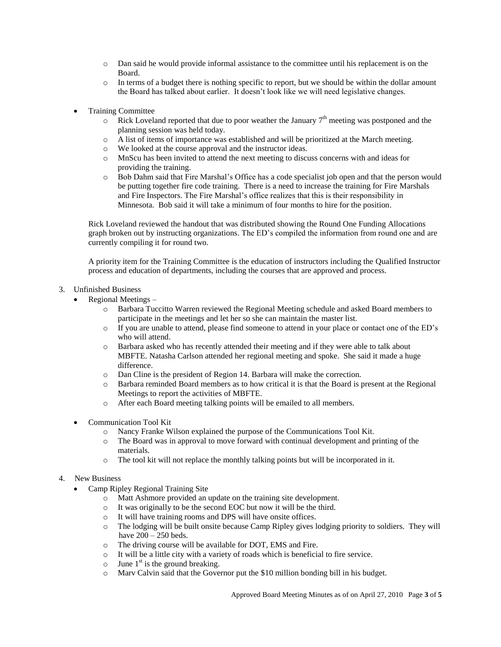- o Dan said he would provide informal assistance to the committee until his replacement is on the Board.
- o In terms of a budget there is nothing specific to report, but we should be within the dollar amount the Board has talked about earlier. It doesn't look like we will need legislative changes.
- Training Committee
	- $\circ$  Rick Loveland reported that due to poor weather the January 7<sup>th</sup> meeting was postponed and the planning session was held today.
	- o A list of items of importance was established and will be prioritized at the March meeting.
	- o We looked at the course approval and the instructor ideas.
	- o MnScu has been invited to attend the next meeting to discuss concerns with and ideas for providing the training.
	- o Bob Dahm said that Fire Marshal's Office has a code specialist job open and that the person would be putting together fire code training. There is a need to increase the training for Fire Marshals and Fire Inspectors. The Fire Marshal's office realizes that this is their responsibility in Minnesota. Bob said it will take a minimum of four months to hire for the position.

Rick Loveland reviewed the handout that was distributed showing the Round One Funding Allocations graph broken out by instructing organizations. The ED's compiled the information from round one and are currently compiling it for round two.

A priority item for the Training Committee is the education of instructors including the Qualified Instructor process and education of departments, including the courses that are approved and process.

- 3. Unfinished Business
	- Regional Meetings
		- o Barbara Tuccitto Warren reviewed the Regional Meeting schedule and asked Board members to participate in the meetings and let her so she can maintain the master list.
		- o If you are unable to attend, please find someone to attend in your place or contact one of the ED's who will attend.
		- o Barbara asked who has recently attended their meeting and if they were able to talk about MBFTE. Natasha Carlson attended her regional meeting and spoke. She said it made a huge difference.
		- o Dan Cline is the president of Region 14. Barbara will make the correction.
		- o Barbara reminded Board members as to how critical it is that the Board is present at the Regional Meetings to report the activities of MBFTE.
		- o After each Board meeting talking points will be emailed to all members.
	- Communication Tool Kit
		- o Nancy Franke Wilson explained the purpose of the Communications Tool Kit.
		- o The Board was in approval to move forward with continual development and printing of the materials.
		- o The tool kit will not replace the monthly talking points but will be incorporated in it.

## 4. New Business

- Camp Ripley Regional Training Site
	- o Matt Ashmore provided an update on the training site development.
	- o It was originally to be the second EOC but now it will be the third.
	- o It will have training rooms and DPS will have onsite offices.
	- o The lodging will be built onsite because Camp Ripley gives lodging priority to soldiers. They will have 200 – 250 beds.
	- o The driving course will be available for DOT, EMS and Fire.
	- o It will be a little city with a variety of roads which is beneficial to fire service.
	- $\circ$  June 1<sup>st</sup> is the ground breaking.
	- o Marv Calvin said that the Governor put the \$10 million bonding bill in his budget.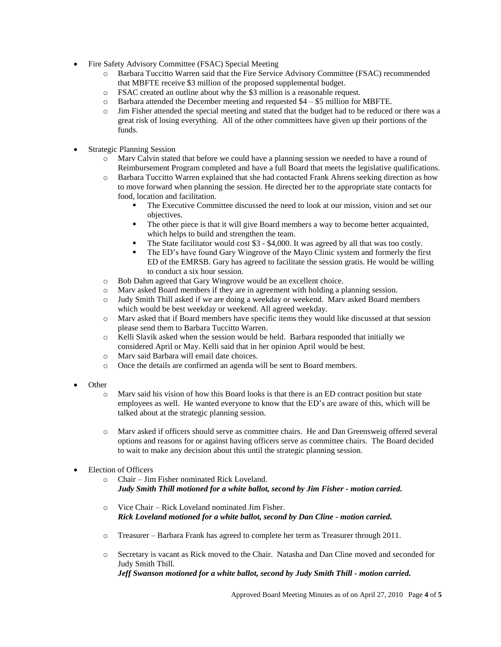- Fire Safety Advisory Committee (FSAC) Special Meeting
	- o Barbara Tuccitto Warren said that the Fire Service Advisory Committee (FSAC) recommended that MBFTE receive \$3 million of the proposed supplemental budget.
	- o FSAC created an outline about why the \$3 million is a reasonable request.
	- $\circ$  Barbara attended the December meeting and requested \$4 \$5 million for MBFTE.
	- o Jim Fisher attended the special meeting and stated that the budget had to be reduced or there was a great risk of losing everything. All of the other committees have given up their portions of the funds.
- Strategic Planning Session
	- o Marv Calvin stated that before we could have a planning session we needed to have a round of Reimbursement Program completed and have a full Board that meets the legislative qualifications.
	- o Barbara Tuccitto Warren explained that she had contacted Frank Ahrens seeking direction as how to move forward when planning the session. He directed her to the appropriate state contacts for food, location and facilitation.
		- The Executive Committee discussed the need to look at our mission, vision and set our objectives.
		- The other piece is that it will give Board members a way to become better acquainted, which helps to build and strengthen the team.
		- The State facilitator would cost \$3 \$4,000. It was agreed by all that was too costly.
		- The ED's have found Gary Wingrove of the Mayo Clinic system and formerly the first ED of the EMRSB. Gary has agreed to facilitate the session gratis. He would be willing to conduct a six hour session.
	- o Bob Dahm agreed that Gary Wingrove would be an excellent choice.
	- o Marv asked Board members if they are in agreement with holding a planning session.
	- o Judy Smith Thill asked if we are doing a weekday or weekend. Marv asked Board members which would be best weekday or weekend. All agreed weekday.
	- o Marv asked that if Board members have specific items they would like discussed at that session please send them to Barbara Tuccitto Warren.
	- o Kelli Slavik asked when the session would be held. Barbara responded that initially we considered April or May. Kelli said that in her opinion April would be best.
	- o Marv said Barbara will email date choices.
	- o Once the details are confirmed an agenda will be sent to Board members.
- **Other** 
	- o Marv said his vision of how this Board looks is that there is an ED contract position but state employees as well. He wanted everyone to know that the ED's are aware of this, which will be talked about at the strategic planning session.
	- o Marv asked if officers should serve as committee chairs. He and Dan Greensweig offered several options and reasons for or against having officers serve as committee chairs. The Board decided to wait to make any decision about this until the strategic planning session.
- Election of Officers
	- o Chair Jim Fisher nominated Rick Loveland. *Judy Smith Thill motioned for a white ballot, second by Jim Fisher - motion carried.*
	- o Vice Chair Rick Loveland nominated Jim Fisher. *Rick Loveland motioned for a white ballot, second by Dan Cline - motion carried.*
	- o Treasurer Barbara Frank has agreed to complete her term as Treasurer through 2011.
	- o Secretary is vacant as Rick moved to the Chair. Natasha and Dan Cline moved and seconded for Judy Smith Thill. *Jeff Swanson motioned for a white ballot, second by Judy Smith Thill - motion carried.*